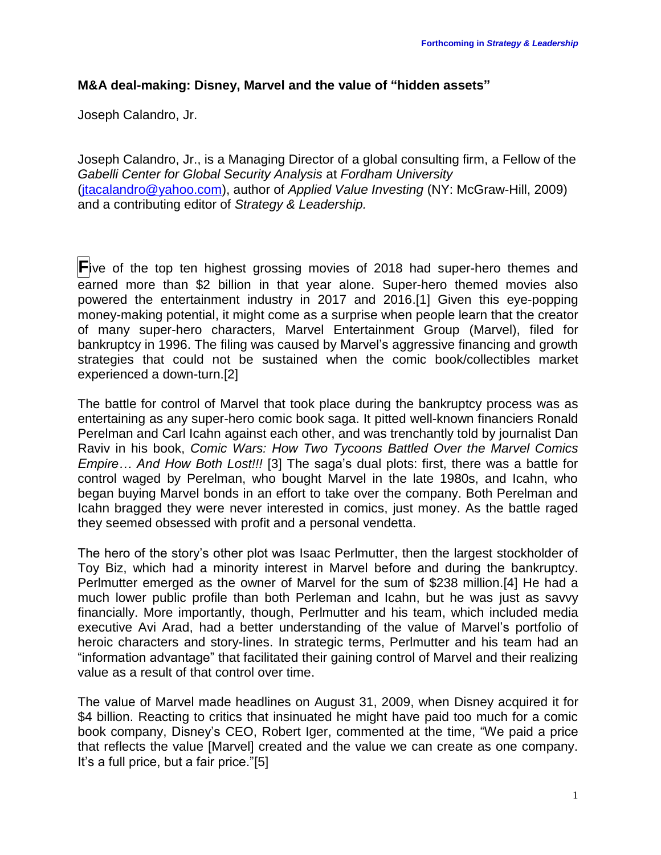# **M&A deal-making: Disney, Marvel and the value of "hidden assets"**

Joseph Calandro, Jr.

Joseph Calandro, Jr., is a Managing Director of a global consulting firm, a Fellow of the *Gabelli Center for Global Security Analysis* at *Fordham University* [\(jtacalandro@yahoo.com\)](mailto:jtacalandro@yahoo.com), author of *Applied Value Investing* (NY: McGraw-Hill, 2009) and a contributing editor of *Strategy & Leadership.*

**F**ive of the top ten highest grossing movies of 2018 had super-hero themes and earned more than \$2 billion in that year alone. Super-hero themed movies also powered the entertainment industry in 2017 and 2016.[1] Given this eye-popping money-making potential, it might come as a surprise when people learn that the creator of many super-hero characters, Marvel Entertainment Group (Marvel), filed for bankruptcy in 1996. The filing was caused by Marvel's aggressive financing and growth strategies that could not be sustained when the comic book/collectibles market experienced a down-turn.[2]

The battle for control of Marvel that took place during the bankruptcy process was as entertaining as any super-hero comic book saga. It pitted well-known financiers Ronald Perelman and Carl Icahn against each other, and was trenchantly told by journalist Dan Raviv in his book, *Comic Wars: How Two Tycoons Battled Over the Marvel Comics Empire… And How Both Lost!!!* [3] The saga's dual plots: first, there was a battle for control waged by Perelman, who bought Marvel in the late 1980s, and Icahn, who began buying Marvel bonds in an effort to take over the company. Both Perelman and Icahn bragged they were never interested in comics, just money. As the battle raged they seemed obsessed with profit and a personal vendetta.

The hero of the story's other plot was Isaac Perlmutter, then the largest stockholder of Toy Biz, which had a minority interest in Marvel before and during the bankruptcy. Perlmutter emerged as the owner of Marvel for the sum of \$238 million.[4] He had a much lower public profile than both Perleman and Icahn, but he was just as savvy financially. More importantly, though, Perlmutter and his team, which included media executive Avi Arad, had a better understanding of the value of Marvel's portfolio of heroic characters and story-lines. In strategic terms, Perlmutter and his team had an "information advantage" that facilitated their gaining control of Marvel and their realizing value as a result of that control over time.

The value of Marvel made headlines on August 31, 2009, when Disney acquired it for \$4 billion. Reacting to critics that insinuated he might have paid too much for a comic book company, Disney's CEO, Robert Iger, commented at the time, "We paid a price that reflects the value [Marvel] created and the value we can create as one company. It's a full price, but a fair price."[5]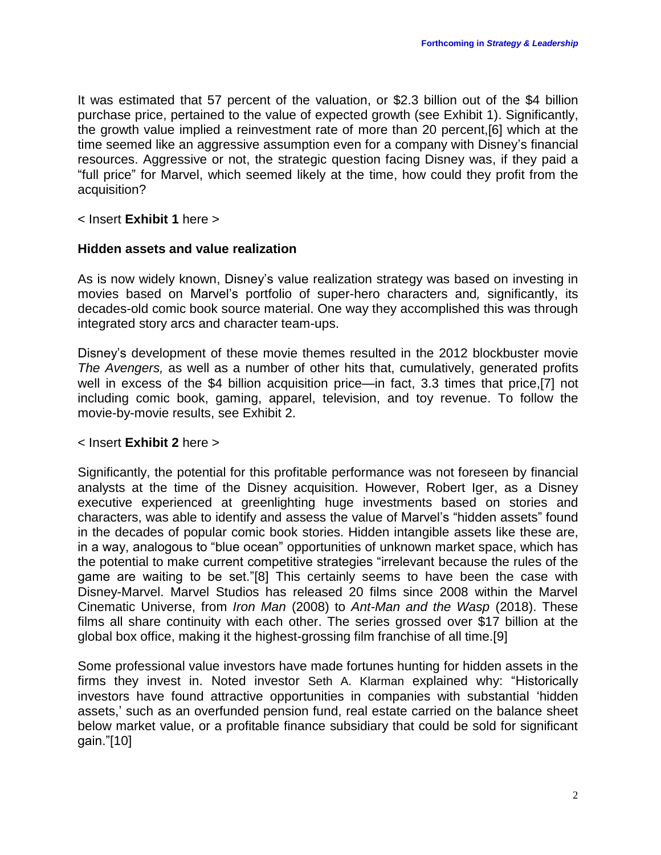It was estimated that 57 percent of the valuation, or \$2.3 billion out of the \$4 billion purchase price, pertained to the value of expected growth (see Exhibit 1). Significantly, the growth value implied a reinvestment rate of more than 20 percent,[6] which at the time seemed like an aggressive assumption even for a company with Disney's financial resources. Aggressive or not, the strategic question facing Disney was, if they paid a "full price" for Marvel, which seemed likely at the time, how could they profit from the acquisition?

### < Insert **Exhibit 1** here >

#### **Hidden assets and value realization**

As is now widely known, Disney's value realization strategy was based on investing in movies based on Marvel's portfolio of super-hero characters and*,* significantly, its decades-old comic book source material. One way they accomplished this was through integrated story arcs and character team-ups.

Disney's development of these movie themes resulted in the 2012 blockbuster movie *The Avengers,* as well as a number of other hits that, cumulatively, generated profits well in excess of the \$4 billion acquisition price—in fact, 3.3 times that price,[7] not including comic book, gaming, apparel, television, and toy revenue. To follow the movie-by-movie results, see Exhibit 2.

#### < Insert **Exhibit 2** here >

Significantly, the potential for this profitable performance was not foreseen by financial analysts at the time of the Disney acquisition. However, Robert Iger, as a Disney executive experienced at greenlighting huge investments based on stories and characters, was able to identify and assess the value of Marvel's "hidden assets" found in the decades of popular comic book stories. Hidden intangible assets like these are, in a way, analogous to "blue ocean" opportunities of unknown market space, which has the potential to make current competitive strategies "irrelevant because the rules of the game are waiting to be set."[8] This certainly seems to have been the case with Disney-Marvel. Marvel Studios has released 20 films since 2008 within the Marvel Cinematic Universe, from *Iron Man* (2008) to *Ant-Man and the Wasp* (2018). These films all share continuity with each other. The series grossed over \$17 billion at the global box office, making it the highest-grossing film franchise of all time.[9]

Some professional value investors have made fortunes hunting for hidden assets in the firms they invest in. Noted investor Seth A. Klarman explained why: "Historically investors have found attractive opportunities in companies with substantial 'hidden assets,' such as an overfunded pension fund, real estate carried on the balance sheet below market value, or a profitable finance subsidiary that could be sold for significant gain."[10]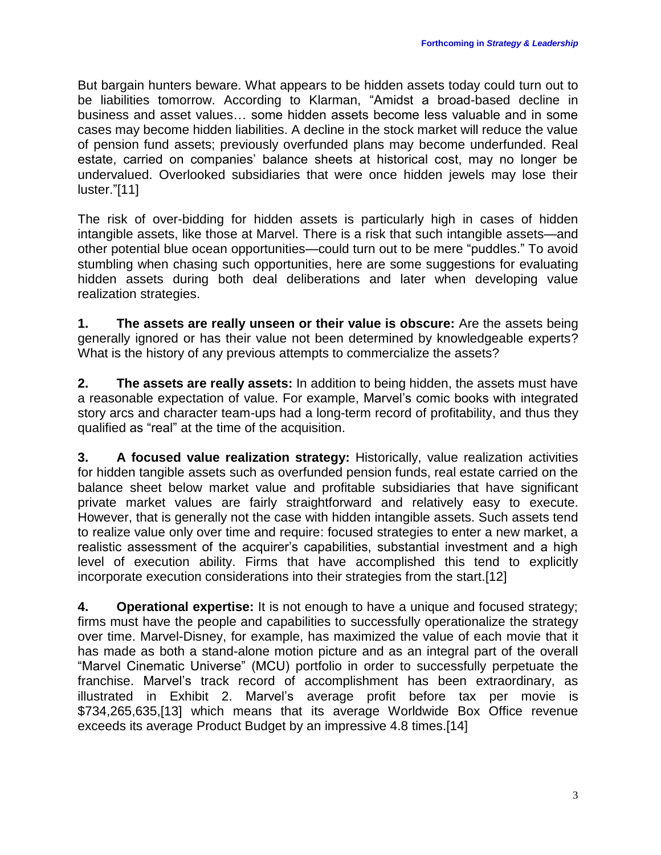But bargain hunters beware. What appears to be hidden assets today could turn out to be liabilities tomorrow. According to Klarman, "Amidst a broad-based decline in business and asset values… some hidden assets become less valuable and in some cases may become hidden liabilities. A decline in the stock market will reduce the value of pension fund assets; previously overfunded plans may become underfunded. Real estate, carried on companies' balance sheets at historical cost, may no longer be undervalued. Overlooked subsidiaries that were once hidden jewels may lose their luster."[11]

The risk of over-bidding for hidden assets is particularly high in cases of hidden intangible assets, like those at Marvel. There is a risk that such intangible assets—and other potential blue ocean opportunities—could turn out to be mere "puddles." To avoid stumbling when chasing such opportunities, here are some suggestions for evaluating hidden assets during both deal deliberations and later when developing value realization strategies.

**1. The assets are really unseen or their value is obscure:** Are the assets being generally ignored or has their value not been determined by knowledgeable experts? What is the history of any previous attempts to commercialize the assets?

**2. The assets are really assets:** In addition to being hidden, the assets must have a reasonable expectation of value. For example, Marvel's comic books with integrated story arcs and character team-ups had a long-term record of profitability, and thus they qualified as "real" at the time of the acquisition.

**3. A focused value realization strategy:** Historically, value realization activities for hidden tangible assets such as overfunded pension funds, real estate carried on the balance sheet below market value and profitable subsidiaries that have significant private market values are fairly straightforward and relatively easy to execute. However, that is generally not the case with hidden intangible assets. Such assets tend to realize value only over time and require: focused strategies to enter a new market, a realistic assessment of the acquirer's capabilities, substantial investment and a high level of execution ability. Firms that have accomplished this tend to explicitly incorporate execution considerations into their strategies from the start.[12]

**4. Operational expertise:** It is not enough to have a unique and focused strategy; firms must have the people and capabilities to successfully operationalize the strategy over time. Marvel-Disney, for example, has maximized the value of each movie that it has made as both a stand-alone motion picture and as an integral part of the overall "Marvel Cinematic Universe" (MCU) portfolio in order to successfully perpetuate the franchise. Marvel's track record of accomplishment has been extraordinary, as illustrated in Exhibit 2. Marvel's average profit before tax per movie is \$734,265,635,[13] which means that its average Worldwide Box Office revenue exceeds its average Product Budget by an impressive 4.8 times.[14]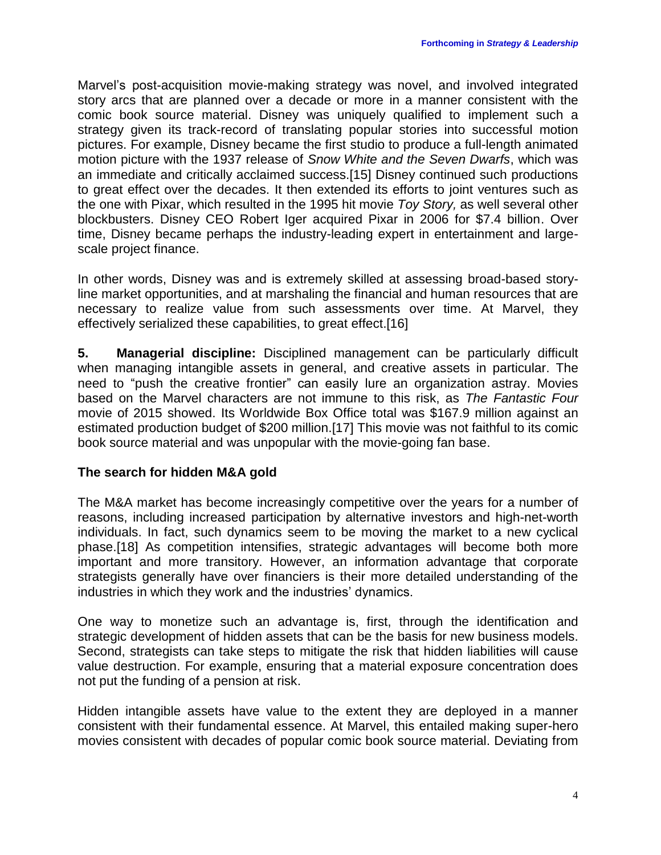Marvel's post-acquisition movie-making strategy was novel, and involved integrated story arcs that are planned over a decade or more in a manner consistent with the comic book source material. Disney was uniquely qualified to implement such a strategy given its track-record of translating popular stories into successful motion pictures. For example, Disney became the first studio to produce a full-length animated motion picture with the 1937 release of *Snow White and the Seven Dwarfs*, which was an immediate and critically acclaimed success.[15] Disney continued such productions to great effect over the decades. It then extended its efforts to joint ventures such as the one with Pixar, which resulted in the 1995 hit movie *Toy Story,* as well several other blockbusters. Disney CEO Robert Iger acquired Pixar in 2006 for \$7.4 billion. Over time, Disney became perhaps the industry-leading expert in entertainment and largescale project finance.

In other words, Disney was and is extremely skilled at assessing broad-based storyline market opportunities, and at marshaling the financial and human resources that are necessary to realize value from such assessments over time. At Marvel, they effectively serialized these capabilities, to great effect.[16]

**5. Managerial discipline:** Disciplined management can be particularly difficult when managing intangible assets in general, and creative assets in particular. The need to "push the creative frontier" can easily lure an organization astray. Movies based on the Marvel characters are not immune to this risk, as *The Fantastic Four* movie of 2015 showed. Its Worldwide Box Office total was \$167.9 million against an estimated production budget of \$200 million.[17] This movie was not faithful to its comic book source material and was unpopular with the movie-going fan base.

# **The search for hidden M&A gold**

The M&A market has become increasingly competitive over the years for a number of reasons, including increased participation by alternative investors and high-net-worth individuals. In fact, such dynamics seem to be moving the market to a new cyclical phase.[18] As competition intensifies, strategic advantages will become both more important and more transitory. However, an information advantage that corporate strategists generally have over financiers is their more detailed understanding of the industries in which they work and the industries' dynamics.

One way to monetize such an advantage is, first, through the identification and strategic development of hidden assets that can be the basis for new business models. Second, strategists can take steps to mitigate the risk that hidden liabilities will cause value destruction. For example, ensuring that a material exposure concentration does not put the funding of a pension at risk.

Hidden intangible assets have value to the extent they are deployed in a manner consistent with their fundamental essence. At Marvel, this entailed making super-hero movies consistent with decades of popular comic book source material. Deviating from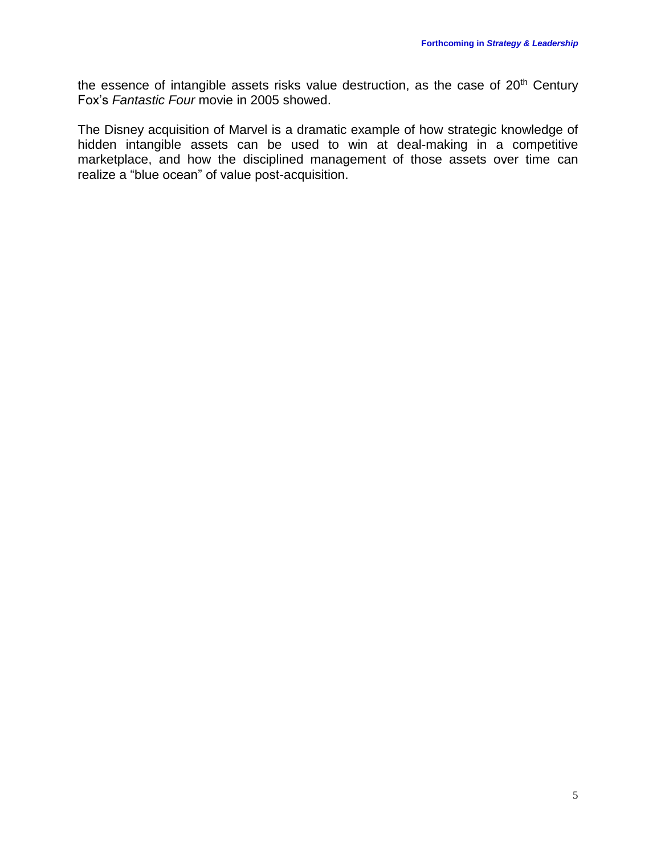the essence of intangible assets risks value destruction, as the case of 20<sup>th</sup> Century Fox's *Fantastic Four* movie in 2005 showed.

The Disney acquisition of Marvel is a dramatic example of how strategic knowledge of hidden intangible assets can be used to win at deal-making in a competitive marketplace, and how the disciplined management of those assets over time can realize a "blue ocean" of value post-acquisition.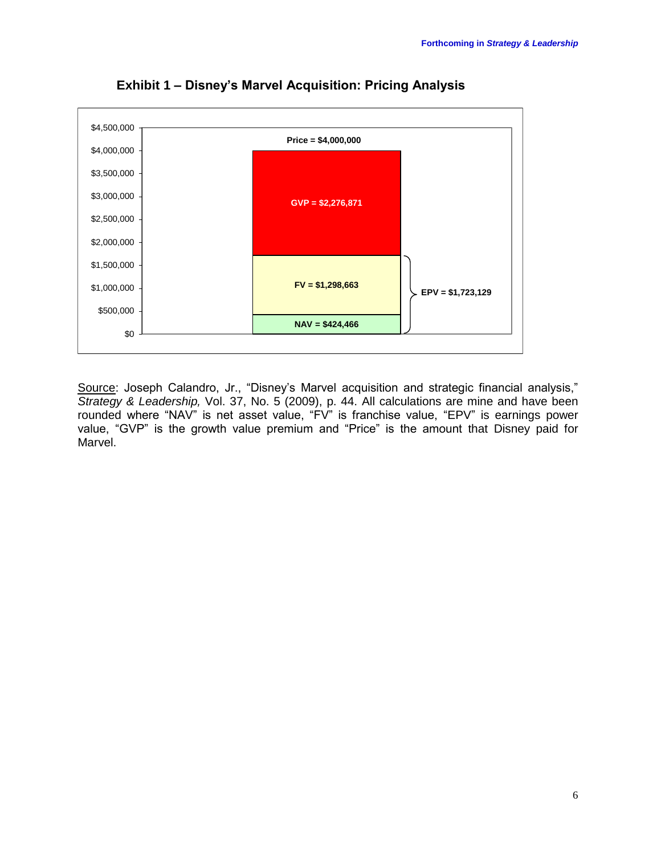

**Exhibit 1 – Disney's Marvel Acquisition: Pricing Analysis**

Source: Joseph Calandro, Jr., "Disney's Marvel acquisition and strategic financial analysis," *Strategy & Leadership,* Vol. 37, No. 5 (2009), p. 44. All calculations are mine and have been rounded where "NAV" is net asset value, "FV" is franchise value, "EPV" is earnings power value, "GVP" is the growth value premium and "Price" is the amount that Disney paid for Marvel.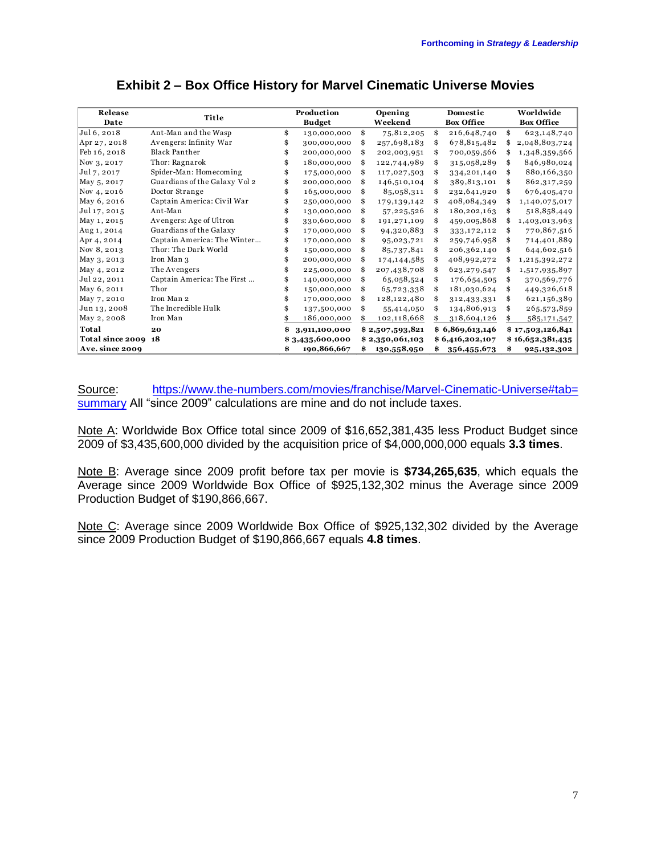| $\mathsf{\mathsf{\mathsf{\mathsf{\mathsf{E}}}}\mathsf{\mathsf{\mathsf{X}}\mathsf{\mathsf{\mathsf{I}}\mathsf{\mathsf{I}}\mathsf{\mathsf{I}}\mathsf{\mathsf{I}}\mathsf{\mathsf{I}}\mathsf{\mathsf{I}}\mathsf{\mathsf{I}}\mathsf{\mathsf{I}}\mathsf{\mathsf{I}}\mathsf{\mathsf{I}}\mathsf{\mathsf{I}}\mathsf{\mathsf{I}}\mathsf{\mathsf{I}}\mathsf{\mathsf{I}}\mathsf{\mathsf{I}}\mathsf{\mathsf{I}}\mathsf{\mathsf{I}}\mathsf{\mathsf{I}}\mathsf{\mathsf{I}}\mathsf{\mathsf{I}}\mathsf{\mathsf$ |                               |                             |                 |                    |                 |                               |                 |                                |                  |
|-----------------------------------------------------------------------------------------------------------------------------------------------------------------------------------------------------------------------------------------------------------------------------------------------------------------------------------------------------------------------------------------------------------------------------------------------------------------------------------------------|-------------------------------|-----------------------------|-----------------|--------------------|-----------------|-------------------------------|-----------------|--------------------------------|------------------|
| Release<br>Date                                                                                                                                                                                                                                                                                                                                                                                                                                                                               | <b>Title</b>                  | Production<br><b>Budget</b> |                 | Opening<br>Weekend |                 | Domestic<br><b>Box Office</b> |                 | Worldwide<br><b>Box Office</b> |                  |
| Jul 6, 2018                                                                                                                                                                                                                                                                                                                                                                                                                                                                                   | Ant-Man and the Wasp          | \$                          | 130,000,000     | \$                 | 75,812,205      | \$                            | 216,648,740     | \$                             | 623,148,740      |
| Apr 27, 2018                                                                                                                                                                                                                                                                                                                                                                                                                                                                                  | Avengers: Infinity War        | \$                          | 300,000,000     | \$                 | 257,698,183     | \$                            | 678,815,482     | \$                             | 2,048,803,724    |
| Feb 16, 2018                                                                                                                                                                                                                                                                                                                                                                                                                                                                                  | <b>Black Panther</b>          |                             | 200,000,000     | \$                 | 202,003,951     |                               | 700,059,566     | \$                             | 1,348,359,566    |
| Nov 3, 2017                                                                                                                                                                                                                                                                                                                                                                                                                                                                                   | Thor: Ragnarok                |                             | 180,000,000     | \$                 | 122,744,989     |                               | 315,058,289     | \$                             | 846,980,024      |
| Jul 7, 2017                                                                                                                                                                                                                                                                                                                                                                                                                                                                                   | Spider-Man: Homecoming        |                             | 175,000,000     | \$                 | 117,027,503     | \$                            | 334,201,140     | \$                             | 880,166,350      |
| May 5, 2017                                                                                                                                                                                                                                                                                                                                                                                                                                                                                   | Guardians of the Galaxy Vol 2 |                             | 200,000,000     | \$                 | 146,510,104     |                               | 389,813,101     |                                | 862,317,259      |
| Nov 4, 2016                                                                                                                                                                                                                                                                                                                                                                                                                                                                                   | Doctor Strange                |                             | 165,000,000     | \$                 | 85,058,311      |                               | 232,641,920     | \$                             | 676,405,470      |
| May 6, 2016                                                                                                                                                                                                                                                                                                                                                                                                                                                                                   | Captain America: Civil War    |                             | 250,000,000     | \$                 | 179,139,142     |                               | 408,084,349     | \$                             | 1,140,075,017    |
| Jul 17, 2015                                                                                                                                                                                                                                                                                                                                                                                                                                                                                  | Ant-Man                       |                             | 130,000,000     | \$                 | 57,225,526      |                               | 180,202,163     | \$                             | 518,858,449      |
| May 1, 2015                                                                                                                                                                                                                                                                                                                                                                                                                                                                                   | Avengers: Age of Ultron       |                             | 330,600,000     | \$                 | 191,271,109     | \$                            | 459,005,868     | \$                             | 1,403,013,963    |
| Aug 1, 2014                                                                                                                                                                                                                                                                                                                                                                                                                                                                                   | Guardians of the Galaxy       | \$                          | 170,000,000     | \$                 | 94,320,883      |                               | 333,172,112     | \$                             | 770,867,516      |
| Apr 4, 2014                                                                                                                                                                                                                                                                                                                                                                                                                                                                                   | Captain America: The Winter   | \$                          | 170,000,000     | \$                 | 95,023,721      |                               | 259,746,958     | \$                             | 714,401,889      |
| Nov 8, 2013                                                                                                                                                                                                                                                                                                                                                                                                                                                                                   | Thor: The Dark World          |                             | 150,000,000     | \$                 | 85,737,841      |                               | 206,362,140     | \$                             | 644,602,516      |
| May 3, 2013                                                                                                                                                                                                                                                                                                                                                                                                                                                                                   | Iron Man 3                    |                             | 200,000,000     | \$                 | 174,144,585     |                               | 408,992,272     | \$                             | 1,215,392,272    |
| May 4, 2012                                                                                                                                                                                                                                                                                                                                                                                                                                                                                   | The Avengers                  |                             | 225,000,000     | \$                 | 207,438,708     |                               | 623,279,547     | \$                             | 1,517,935,897    |
| Jul 22, 2011                                                                                                                                                                                                                                                                                                                                                                                                                                                                                  | Captain America: The First    |                             | 140,000,000     | \$                 | 65,058,524      |                               | 176,654,505     | \$                             | 370,569,776      |
| May 6, 2011                                                                                                                                                                                                                                                                                                                                                                                                                                                                                   | Thor                          |                             | 150,000,000     | \$                 | 65,723,338      | \$                            | 181,030,624     | \$                             | 449,326,618      |
| May 7, 2010                                                                                                                                                                                                                                                                                                                                                                                                                                                                                   | Iron Man 2                    |                             | 170,000,000     | \$                 | 128,122,480     |                               | 312,433,331     | \$                             | 621,156,389      |
| Jun 13, 2008                                                                                                                                                                                                                                                                                                                                                                                                                                                                                  | The Incredible Hulk           |                             | 137,500,000     | \$                 | 55,414,050      |                               | 134,806,913     | \$                             | 265,573,859      |
| May 2, 2008                                                                                                                                                                                                                                                                                                                                                                                                                                                                                   | Iron Man                      |                             | 186,000,000     | \$                 | 102,118,668     | \$                            | 318,604,126     | \$                             | 585,171,547      |
| Total                                                                                                                                                                                                                                                                                                                                                                                                                                                                                         | 20                            |                             | 3,911,100,000   |                    | \$2,507,593,821 |                               | \$6,869,613,146 |                                | \$17,503,126,841 |
| <b>Total since 2009 18</b>                                                                                                                                                                                                                                                                                                                                                                                                                                                                    |                               |                             | \$3,435,600,000 |                    | \$2,350,061,103 |                               | \$6,416,202,107 |                                | \$16,652,381,435 |
| Ave. since 2009                                                                                                                                                                                                                                                                                                                                                                                                                                                                               |                               | \$                          | 190,866,667     | \$                 | 130,558,950     | \$                            | 356,455,673     | \$                             | 925,132,302      |

### **Exhibit 2 – Box Office History for Marvel Cinematic Universe Movies**

Source: [https://www.the-numbers.com/movies/franchise/Marvel-Cinematic-Universe#tab=](https://www.the-numbers.com/movies/franchise/Marvel-Cinematic-Universe#tab= summary)  [summary](https://www.the-numbers.com/movies/franchise/Marvel-Cinematic-Universe#tab= summary) All "since 2009" calculations are mine and do not include taxes.

Note A: Worldwide Box Office total since 2009 of \$16,652,381,435 less Product Budget since 2009 of \$3,435,600,000 divided by the acquisition price of \$4,000,000,000 equals **3.3 times**.

Note B: Average since 2009 profit before tax per movie is **\$734,265,635**, which equals the Average since 2009 Worldwide Box Office of \$925,132,302 minus the Average since 2009 Production Budget of \$190,866,667.

Note C: Average since 2009 Worldwide Box Office of \$925,132,302 divided by the Average since 2009 Production Budget of \$190,866,667 equals **4.8 times**.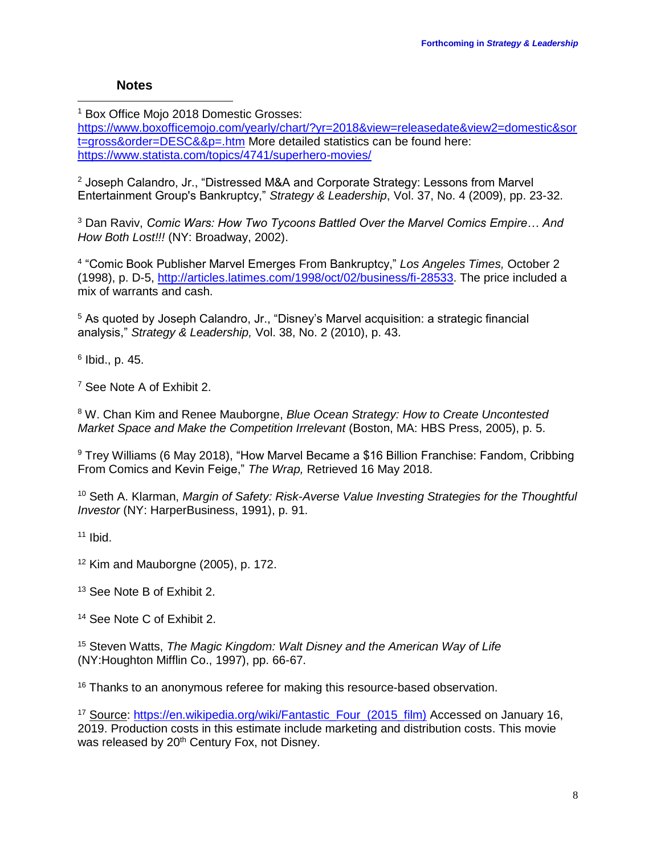# **Notes**

 $\overline{\phantom{a}}$ 

<sup>1</sup> Box Office Moio 2018 Domestic Grosses:

[https://www.boxofficemojo.com/yearly/chart/?yr=2018&view=releasedate&view2=domestic&sor](https://www.boxofficemojo.com/yearly/chart/?yr=2018&view=releasedate&view2=domestic&sort=gross&order=DESC&&p=.htm) [t=gross&order=DESC&&p=.htm](https://www.boxofficemojo.com/yearly/chart/?yr=2018&view=releasedate&view2=domestic&sort=gross&order=DESC&&p=.htm) More detailed statistics can be found here: <https://www.statista.com/topics/4741/superhero-movies/>

<sup>2</sup> Joseph Calandro, Jr., "Distressed M&A and Corporate Strategy: Lessons from Marvel Entertainment Group's Bankruptcy," *Strategy & Leadership*, Vol. 37, No. 4 (2009), pp. 23-32.

<sup>3</sup> Dan Raviv, *Comic Wars: How Two Tycoons Battled Over the Marvel Comics Empire… And How Both Lost!!!* (NY: Broadway, 2002).

4 "Comic Book Publisher Marvel Emerges From Bankruptcy," *Los Angeles Times,* October 2 (1998), p. D-5, [http://articles.latimes.com/1998/oct/02/business/fi-28533.](http://articles.latimes.com/1998/oct/02/business/fi-28533) The price included a mix of warrants and cash.

<sup>5</sup> As quoted by Joseph Calandro, Jr., "Disney's Marvel acquisition: a strategic financial analysis," *Strategy & Leadership,* Vol. 38, No. 2 (2010), p. 43.

6 Ibid., p. 45.

<sup>7</sup> See Note A of Exhibit 2.

<sup>8</sup> W. Chan Kim and Renee Mauborgne, *Blue Ocean Strategy: How to Create Uncontested Market Space and Make the Competition Irrelevant* (Boston, MA: HBS Press, 2005), p. 5.

<sup>9</sup> Trey Williams (6 May 2018), "How Marvel Became a \$16 Billion Franchise: Fandom, Cribbing From Comics and Kevin Feige," *The Wrap,* Retrieved 16 May 2018.

<sup>10</sup> Seth A. Klarman, *Margin of Safety: Risk-Averse Value Investing Strategies for the Thoughtful Investor* (NY: HarperBusiness, 1991), p. 91.

 $11$  Ibid.

 $12$  Kim and Mauborgne (2005), p. 172.

<sup>13</sup> See Note B of Exhibit 2.

<sup>14</sup> See Note C of Exhibit 2.

<sup>15</sup> Steven Watts, *The Magic Kingdom: Walt Disney and the American Way of Life*  (NY:Houghton Mifflin Co., 1997), pp. 66-67.

<sup>16</sup> Thanks to an anonymous referee for making this resource-based observation.

<sup>17</sup> Source: [https://en.wikipedia.org/wiki/Fantastic\\_Four\\_\(2015\\_film\)](https://en.wikipedia.org/wiki/Fantastic_Four_(2015_film)) Accessed on January 16, 2019. Production costs in this estimate include marketing and distribution costs. This movie was released by 20<sup>th</sup> Century Fox, not Disney.